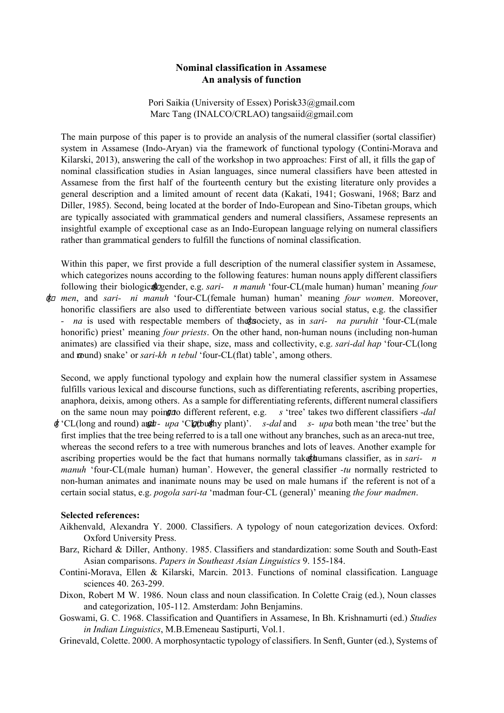## **Nominal classification in Assamese An analysis of function**

Pori Saikia (University of Essex) Porisk33@gmail.com Marc Tang (INALCO/CRLAO) tangsaiid@gmail.com

The main purpose of this paper is to provide an analysis of the numeral classifier (sortal classifier) system in Assamese (Indo-Aryan) via the framework of functional typology (Contini-Morava and Kilarski, 2013), answering the call of the workshop in two approaches: First of all, it fills the gap of nominal classification studies in Asian languages, since numeral classifiers have been attested in Assamese from the first half of the fourteenth century but the existing literature only provides a general description and a limited amount of recent data (Kakati, 1941; Goswani, 1968; Barz and Diller, 1985). Second, being located at the border of Indo-European and Sino-Tibetan groups, which are typically associated with grammatical genders and numeral classifiers, Assamese represents an insightful example of exceptional case as an Indo-European language relying on numeral classifiers rather than grammatical genders to fulfill the functions of nominal classification.

Within this paper, we first provide a full description of the numeral classifier system in Assamese, which categorizes nouns according to the following features: human nouns apply different classifiers following their biological gender, e.g. *sari- n* manuh 'four-CL(male human) human' meaning *four* ʤ *men*, and *sari ni manuh* 'fourCL(female human) human' meaning *four women*. Moreover,

honorific classifiers are also used to differentiate between various social status, e.g. the classifier ʤ *na* is used with respectable members of theʤsociety, as in *sari na puruhit* 'fourCL(male honorific) priest' meaning *four priests*. On the other hand, non-human nouns (including non-human animates) are classified via their shape, size, mass and collectivity, e.g. *sari-dal hap* 'four-CL(long and mound) snake' or sari-kh *n tebul* 'four-CL(flat) table', among others.

Second, we apply functional typology and explain how the numeral classifier system in Assamese fulfills various lexical and discourse functions, such as differentiating referents, ascribing properties, anaphora, deixis, among others. As a sample for differentiating referents, different numeral classifiers on the same noun may poing to different referent, e.g. *s* 'tree' takes two different classifiers *-dal* 

 $\oint$  'CL(long and round) and *upa* 'Clg(bushy plant)'. *s-dal* and *s- upa* both mean 'the tree' but the first implies that the tree being referred to is a tall one without any branches, such as an areca-nut tree, whereas the second refers to a tree with numerous branches and lots of leaves. Another example for ascribing properties would be the fact that humans normally takeʤhumans classifier, as in *sari n manuh* 'four-CL(male human) human'. However, the general classifier *-tu* normally restricted to non-human animates and inanimate nouns may be used on male humans if the referent is not of a certain social status, e.g. *pogola sarita* 'madman fourCL (general)' meaning *the four madmen*.

## **Selected references:**

- Aikhenvald, Alexandra Y. 2000. Classifiers. A typology of noun categorization devices. Oxford: Oxford University Press.
- Barz, Richard & Diller, Anthony. 1985. Classifiers and standardization: some South and South-East Asian comparisons. *Papers in Southeast Asian Linguistics* 9. 155184.
- Contini-Morava, Ellen & Kilarski, Marcin. 2013. Functions of nominal classification. Language sciences 40, 263-299.
- Dixon, Robert M W. 1986. Noun class and noun classification. In Colette Craig (ed.), Noun classes and categorization, 105-112. Amsterdam: John Benjamins.
- Goswami, G. C. 1968. Classification and Quantifiers in Assamese, In Bh. Krishnamurti (ed.) *Studies in Indian Linguistics*, M.B.Emeneau Sastipurti, Vol.1.
- Grinevald, Colette. 2000. A morphosyntactic typology of classifiers. In Senft, Gunter (ed.), Systems of